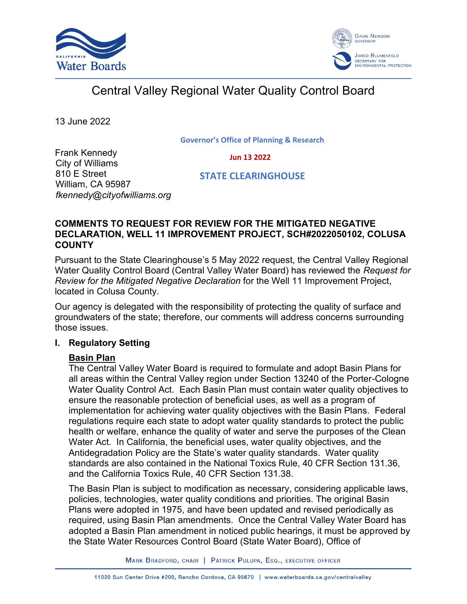



# Central Valley Regional Water Quality Control Board

13 June 2022

**Governor's Office of Planning & Research**

 **Jun 13 2022**

Frank Kennedy City of Williams 810 E Street William, CA 95987 *fkennedy@cityofwilliams.org*

 **STATE CLEARINGHOUSE**

## **COMMENTS TO REQUEST FOR REVIEW FOR THE MITIGATED NEGATIVE DECLARATION, WELL 11 IMPROVEMENT PROJECT, SCH#2022050102, COLUSA COUNTY**

Pursuant to the State Clearinghouse's 5 May 2022 request, the Central Valley Regional Water Quality Control Board (Central Valley Water Board) has reviewed the *Request for Review for the Mitigated Negative Declaration* for the Well 11 Improvement Project, located in Colusa County.

Our agency is delegated with the responsibility of protecting the quality of surface and groundwaters of the state; therefore, our comments will address concerns surrounding those issues.

## **I. Regulatory Setting**

## **Basin Plan**

The Central Valley Water Board is required to formulate and adopt Basin Plans for all areas within the Central Valley region under Section 13240 of the Porter-Cologne Water Quality Control Act. Each Basin Plan must contain water quality objectives to ensure the reasonable protection of beneficial uses, as well as a program of implementation for achieving water quality objectives with the Basin Plans. Federal regulations require each state to adopt water quality standards to protect the public health or welfare, enhance the quality of water and serve the purposes of the Clean Water Act. In California, the beneficial uses, water quality objectives, and the Antidegradation Policy are the State's water quality standards. Water quality standards are also contained in the National Toxics Rule, 40 CFR Section 131.36, and the California Toxics Rule, 40 CFR Section 131.38.

The Basin Plan is subject to modification as necessary, considering applicable laws, policies, technologies, water quality conditions and priorities. The original Basin Plans were adopted in 1975, and have been updated and revised periodically as required, using Basin Plan amendments. Once the Central Valley Water Board has adopted a Basin Plan amendment in noticed public hearings, it must be approved by the State Water Resources Control Board (State Water Board), Office of

MARK BRADFORD, CHAIR | PATRICK PULUPA, ESQ., EXECUTIVE OFFICER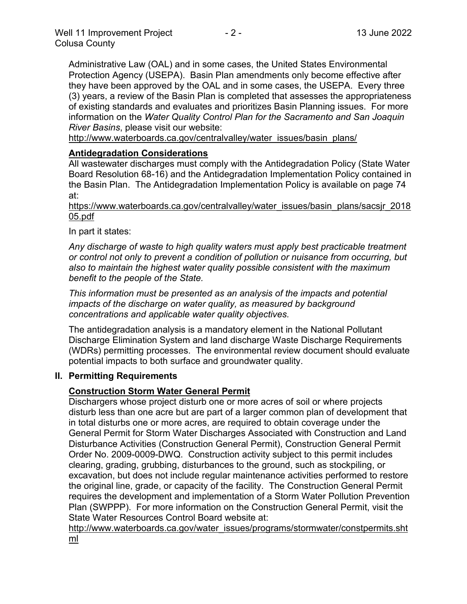Administrative Law (OAL) and in some cases, the United States Environmental Protection Agency (USEPA). Basin Plan amendments only become effective after they have been approved by the OAL and in some cases, the USEPA. Every three (3) years, a review of the Basin Plan is completed that assesses the appropriateness of existing standards and evaluates and prioritizes Basin Planning issues. For more information on the *Water Quality Control Plan for the Sacramento and San Joaquin River Basins*, please visit our website:

[http://www.waterboards.ca.gov/centralvalley/water\\_issues/basin\\_plans/](http://www.waterboards.ca.gov/centralvalley/water_issues/basin_plans/)

## **Antidegradation Considerations**

All wastewater discharges must comply with the Antidegradation Policy (State Water Board Resolution 68-16) and the Antidegradation Implementation Policy contained in the Basin Plan. The Antidegradation Implementation Policy is available on page 74 at:

https://www.waterboards.ca.gov/centralvalley/water\_issues/basin\_plans/sacsjr\_2018 05.pdf

In part it states:

*Any discharge of waste to high quality waters must apply best practicable treatment or control not only to prevent a condition of pollution or nuisance from occurring, but also to maintain the highest water quality possible consistent with the maximum benefit to the people of the State.*

*This information must be presented as an analysis of the impacts and potential impacts of the discharge on water quality, as measured by background concentrations and applicable water quality objectives.*

The antidegradation analysis is a mandatory element in the National Pollutant Discharge Elimination System and land discharge Waste Discharge Requirements (WDRs) permitting processes. The environmental review document should evaluate potential impacts to both surface and groundwater quality.

#### **II. Permitting Requirements**

## **Construction Storm Water General Permit**

Dischargers whose project disturb one or more acres of soil or where projects disturb less than one acre but are part of a larger common plan of development that in total disturbs one or more acres, are required to obtain coverage under the General Permit for Storm Water Discharges Associated with Construction and Land Disturbance Activities (Construction General Permit), Construction General Permit Order No. 2009-0009-DWQ. Construction activity subject to this permit includes clearing, grading, grubbing, disturbances to the ground, such as stockpiling, or excavation, but does not include regular maintenance activities performed to restore the original line, grade, or capacity of the facility. The Construction General Permit requires the development and implementation of a Storm Water Pollution Prevention Plan (SWPPP). For more information on the Construction General Permit, visit the State Water Resources Control Board website at:

[http://www.waterboards.ca.gov/water\\_issues/programs/stormwater/constpermits.sht](http://www.waterboards.ca.gov/water_issues/programs/stormwater/constpermits.shtml) [ml](http://www.waterboards.ca.gov/water_issues/programs/stormwater/constpermits.shtml)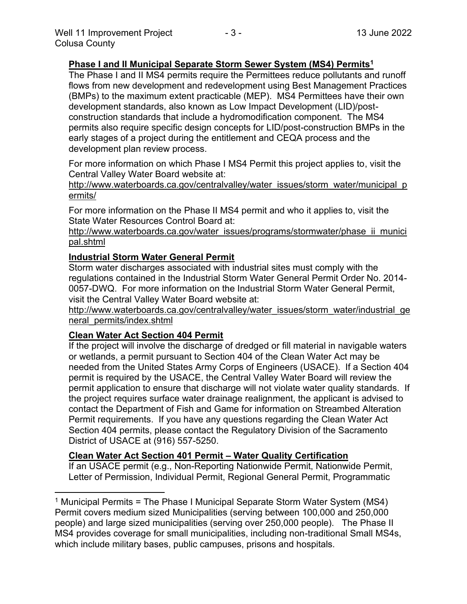## **Phase I and II Municipal Separate Storm Sewer System (MS4) Permits<sup>1</sup>**

The Phase I and II MS4 permits require the Permittees reduce pollutants and runoff flows from new development and redevelopment using Best Management Practices (BMPs) to the maximum extent practicable (MEP). MS4 Permittees have their own development standards, also known as Low Impact Development (LID)/postconstruction standards that include a hydromodification component. The MS4 permits also require specific design concepts for LID/post-construction BMPs in the early stages of a project during the entitlement and CEQA process and the development plan review process.

For more information on which Phase I MS4 Permit this project applies to, visit the Central Valley Water Board website at:

http://www.waterboards.ca.gov/centralvalley/water\_issues/storm\_water/municipal\_p ermits/

For more information on the Phase II MS4 permit and who it applies to, visit the State Water Resources Control Board at:

http://www.waterboards.ca.gov/water\_issues/programs/stormwater/phase\_ii\_munici pal.shtml

#### **Industrial Storm Water General Permit**

Storm water discharges associated with industrial sites must comply with the regulations contained in the Industrial Storm Water General Permit Order No. 2014- 0057-DWQ. For more information on the Industrial Storm Water General Permit, visit the Central Valley Water Board website at:

http://www.waterboards.ca.gov/centralvalley/water\_issues/storm\_water/industrial\_ge neral\_permits/index.shtml

#### **Clean Water Act Section 404 Permit**

If the project will involve the discharge of dredged or fill material in navigable waters or wetlands, a permit pursuant to Section 404 of the Clean Water Act may be needed from the United States Army Corps of Engineers (USACE). If a Section 404 permit is required by the USACE, the Central Valley Water Board will review the permit application to ensure that discharge will not violate water quality standards. If the project requires surface water drainage realignment, the applicant is advised to contact the Department of Fish and Game for information on Streambed Alteration Permit requirements. If you have any questions regarding the Clean Water Act Section 404 permits, please contact the Regulatory Division of the Sacramento District of USACE at (916) 557-5250.

#### **Clean Water Act Section 401 Permit – Water Quality Certification**

If an USACE permit (e.g., Non-Reporting Nationwide Permit, Nationwide Permit, Letter of Permission, Individual Permit, Regional General Permit, Programmatic

<sup>&</sup>lt;sup>1</sup> Municipal Permits = The Phase I Municipal Separate Storm Water System (MS4) Permit covers medium sized Municipalities (serving between 100,000 and 250,000 people) and large sized municipalities (serving over 250,000 people). The Phase II MS4 provides coverage for small municipalities, including non-traditional Small MS4s, which include military bases, public campuses, prisons and hospitals.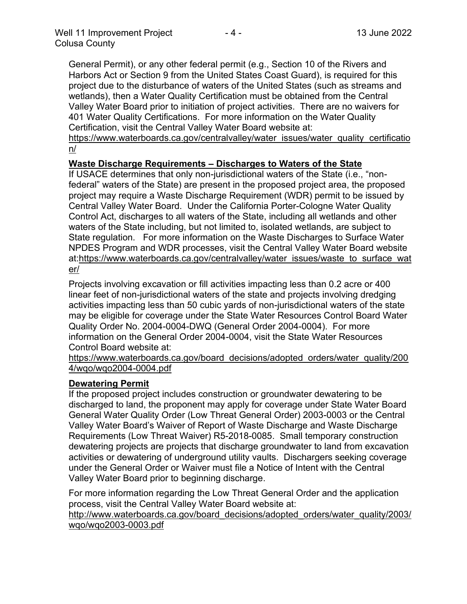General Permit), or any other federal permit (e.g., Section 10 of the Rivers and Harbors Act or Section 9 from the United States Coast Guard), is required for this project due to the disturbance of waters of the United States (such as streams and wetlands), then a Water Quality Certification must be obtained from the Central Valley Water Board prior to initiation of project activities. There are no waivers for 401 Water Quality Certifications. For more information on the Water Quality Certification, visit the Central Valley Water Board website at:

https://www.waterboards.ca.gov/centralvalley/water\_issues/water\_quality\_certificatio n/

## **Waste Discharge Requirements – Discharges to Waters of the State**

If USACE determines that only non-jurisdictional waters of the State (i.e., "nonfederal" waters of the State) are present in the proposed project area, the proposed project may require a Waste Discharge Requirement (WDR) permit to be issued by Central Valley Water Board. Under the California Porter-Cologne Water Quality Control Act, discharges to all waters of the State, including all wetlands and other waters of the State including, but not limited to, isolated wetlands, are subject to State regulation. For more information on the Waste Discharges to Surface Water NPDES Program and WDR processes, visit the Central Valley Water Board website at:https://www.waterboards.ca.gov/centralvalley/water\_issues/waste\_to\_surface\_wat er/

Projects involving excavation or fill activities impacting less than 0.2 acre or 400 linear feet of non-jurisdictional waters of the state and projects involving dredging activities impacting less than 50 cubic yards of non-jurisdictional waters of the state may be eligible for coverage under the State Water Resources Control Board Water Quality Order No. 2004-0004-DWQ (General Order 2004-0004). For more information on the General Order 2004-0004, visit the State Water Resources Control Board website at:

https://www.waterboards.ca.gov/board\_decisions/adopted\_orders/water\_quality/200 4/wqo/wqo2004-0004.pdf

#### **Dewatering Permit**

If the proposed project includes construction or groundwater dewatering to be discharged to land, the proponent may apply for coverage under State Water Board General Water Quality Order (Low Threat General Order) 2003-0003 or the Central Valley Water Board's Waiver of Report of Waste Discharge and Waste Discharge Requirements (Low Threat Waiver) R5-2018-0085. Small temporary construction dewatering projects are projects that discharge groundwater to land from excavation activities or dewatering of underground utility vaults. Dischargers seeking coverage under the General Order or Waiver must file a Notice of Intent with the Central Valley Water Board prior to beginning discharge.

For more information regarding the Low Threat General Order and the application process, visit the Central Valley Water Board website at:

http://www.waterboards.ca.gov/board decisions/adopted orders/water quality/2003/ wqo/wqo2003-0003.pdf